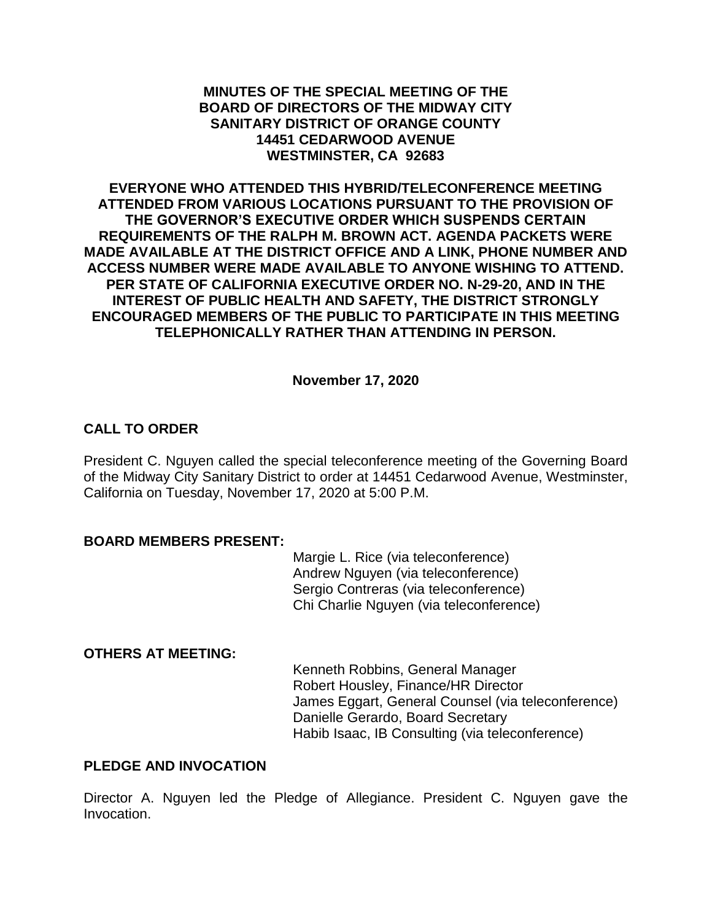#### **MINUTES OF THE SPECIAL MEETING OF THE BOARD OF DIRECTORS OF THE MIDWAY CITY SANITARY DISTRICT OF ORANGE COUNTY 14451 CEDARWOOD AVENUE WESTMINSTER, CA 92683**

**EVERYONE WHO ATTENDED THIS HYBRID/TELECONFERENCE MEETING ATTENDED FROM VARIOUS LOCATIONS PURSUANT TO THE PROVISION OF THE GOVERNOR'S EXECUTIVE ORDER WHICH SUSPENDS CERTAIN REQUIREMENTS OF THE RALPH M. BROWN ACT. AGENDA PACKETS WERE MADE AVAILABLE AT THE DISTRICT OFFICE AND A LINK, PHONE NUMBER AND ACCESS NUMBER WERE MADE AVAILABLE TO ANYONE WISHING TO ATTEND. PER STATE OF CALIFORNIA EXECUTIVE ORDER NO. N-29-20, AND IN THE INTEREST OF PUBLIC HEALTH AND SAFETY, THE DISTRICT STRONGLY ENCOURAGED MEMBERS OF THE PUBLIC TO PARTICIPATE IN THIS MEETING TELEPHONICALLY RATHER THAN ATTENDING IN PERSON.**

**November 17, 2020**

# **CALL TO ORDER**

President C. Nguyen called the special teleconference meeting of the Governing Board of the Midway City Sanitary District to order at 14451 Cedarwood Avenue, Westminster, California on Tuesday, November 17, 2020 at 5:00 P.M.

#### **BOARD MEMBERS PRESENT:**

Margie L. Rice (via teleconference) Andrew Nguyen (via teleconference) Sergio Contreras (via teleconference) Chi Charlie Nguyen (via teleconference)

#### **OTHERS AT MEETING:**

Kenneth Robbins, General Manager Robert Housley, Finance/HR Director James Eggart, General Counsel (via teleconference) Danielle Gerardo, Board Secretary Habib Isaac, IB Consulting (via teleconference)

## **PLEDGE AND INVOCATION**

Director A. Nguyen led the Pledge of Allegiance. President C. Nguyen gave the Invocation.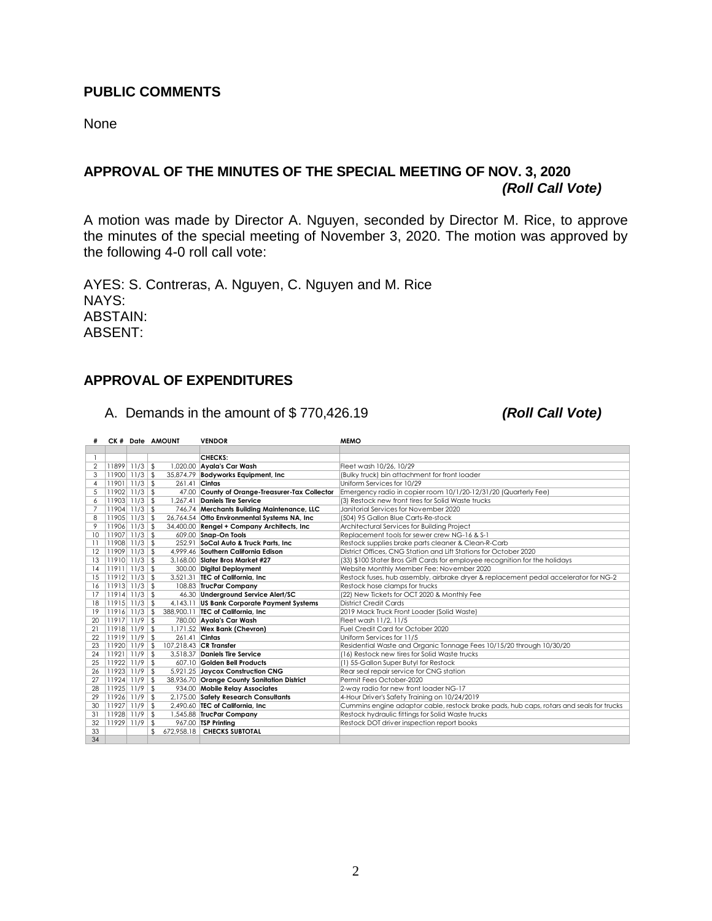## **PUBLIC COMMENTS**

None

# **APPROVAL OF THE MINUTES OF THE SPECIAL MEETING OF NOV. 3, 2020** *(Roll Call Vote)*

A motion was made by Director A. Nguyen, seconded by Director M. Rice, to approve the minutes of the special meeting of November 3, 2020. The motion was approved by the following 4-0 roll call vote:

AYES: S. Contreras, A. Nguyen, C. Nguyen and M. Rice NAYS: ABSTAIN: ABSENT:

#### **APPROVAL OF EXPENDITURES**

A. Demands in the amount of \$ 770,426.19 *(Roll Call Vote)*

|                 |                   | CK # Date AMOUNT     | <b>VENDOR</b>                                  | <b>MEMO</b>                                                                             |
|-----------------|-------------------|----------------------|------------------------------------------------|-----------------------------------------------------------------------------------------|
|                 |                   |                      |                                                |                                                                                         |
|                 |                   |                      | CHECKS:                                        |                                                                                         |
| $\overline{2}$  | $11899$ $11/3$ \$ |                      | 1,020.00 Ayala's Car Wash                      | Fleet wash 10/26, 10/29                                                                 |
| 3               | $11900$ 11/3      | -\$                  | 35,874.79 Bodyworks Equipment, Inc.            | (Bulky truck) bin attachment for front loader                                           |
| $\overline{4}$  | $11901$ $11/3$ \$ | 261.41 Cintas        |                                                | Uniform Services for 10/29                                                              |
| 5               | $11902$ $11/3$ \$ |                      | 47.00 County of Orange-Treasurer-Tax Collector | Emergency radio in copier room 10/1/20-12/31/20 (Quarterly Fee)                         |
| 6               | $11903$ $11/3$ \$ | 1.267.41             | <b>Daniels Tire Service</b>                    | (3) Restock new front tires for Solid Waste trucks                                      |
| 7               | $11904$ $11/3$ \$ |                      | 746.74 Merchants Building Maintenance, LLC     | Janitorial Services for November 2020                                                   |
| 8               | $11905$   11/3    | \$                   | 26,764.54 Otto Environmental Systems NA, Inc.  | (504) 95 Gallon Blue Carts-Re-stock                                                     |
| 9               | $11906$ 11/3      | $\mathfrak{L}$       | 34,400.00 Rengel + Company Architects, Inc.    | Architectural Services for Building Project                                             |
| 10              | $11907$ 11/3      | \$                   | 609.00 Snap-On Tools                           | Replacement tools for sewer crew NG-16 & S-1                                            |
| $\overline{11}$ | $11908$   11/3    | -\$                  | 252.91 SoCal Auto & Truck Parts, Inc           | Restock supplies brake parts cleaner & Clean-R-Carb                                     |
| 12              | $11909$ 11/3      | \$                   | 4.999.46 Southern California Edison            | District Offices, CNG Station and Lift Stations for October 2020                        |
| 13              | $11910$ 11/3      | $\mathbf{\hat{S}}$   | 3.168.00 Slater Bros Market #27                | (33) \$100 Stater Bros Gift Cards for employee recognition for the holidays             |
| 14              | $11911$ 11/3      | -\$                  | 300.00 Digital Deployment                      | Website Monthly Member Fee: November 2020                                               |
| 15              | $11912$ 11/3      | $\mathfrak{L}$       | 3.521.31 TEC of California. Inc.               | Restock fuses, hub assembly, airbrake dryer & replacement pedal accelerator for NG-2    |
| 16              | $11913$ $11/3$ \$ |                      | 108.83 TrucPar Company                         | Restock hose clamps for trucks                                                          |
| 17              | $11914$ $11/3$ \$ |                      | 46.30 Underground Service Alert/SC             | (22) New Tickets for OCT 2020 & Monthly Fee                                             |
| 18              | $11915$   11/3    | -\$                  | 4,143.11 US Bank Corporate Payment Systems     | <b>District Credit Cards</b>                                                            |
| 19              | $11916$ 11/3      | \$                   | 388,900.11 <b>TEC of California, Inc.</b>      | 2019 Mack Truck Front Loader (Solid Waste)                                              |
| 20              | $11917$ 11/9      | $\mathfrak{L}$       | 780.00 Ayala's Car Wash                        | Fleet wash 11/2, 11/5                                                                   |
| 21              | $11918$ 11/9      | \$                   | 1,171.52 Wex Bank (Chevron)                    | Fuel Credit Card for October 2020                                                       |
| 22              | $11919$ 11/9      | 261.41 Cintas<br>-\$ |                                                | Uniform Services for 11/5                                                               |
| 23              | 11920 11/9        | -\$                  | 107.218.43 CR Transfer                         | Residential Waste and Organic Tonnage Fees 10/15/20 through 10/30/20                    |
| 24              | $11921$ 11/9      | -\$                  | 3.518.37 Daniels Tire Service                  | (16) Restock new tires for Solid Waste trucks                                           |
| 25              | 11922 11/9        | \$                   | 607.10 Golden Bell Products                    | (1) 55-Gallon Super Butyl for Restock                                                   |
| 26              | $11923$ 11/9      | -\$                  | 5,921.25 Jaycox Construction CNG               | Rear seal repair service for CNG station                                                |
| 27              | 11924 11/9        | \$                   | 38,936.70 Orange County Sanitation District    | Permit Fees October-2020                                                                |
| 28              | $11925$ 11/9      | \$                   | 934.00 Mobile Relay Associates                 | 2-way radio for new front loader NG-17                                                  |
| 29              | 11926 11/9        | -\$                  | 2,175.00 Safety Research Consultants           | 4-Hour Driver's Safety Training on 10/24/2019                                           |
| 30              | $11927$ 11/9      | \$                   | 2.490.60 TEC of California. Inc.               | Cummins engine adaptor cable, restock brake pads, hub caps, rotars and seals for trucks |
| 31              | 11928 11/9        | \$                   | 1,545.88 TrucPar Company                       | Restock hydraulic fittings for Solid Waste trucks                                       |
| 32              | 11929 11/9        | \$                   | 967.00 TSP Printing                            | Restock DOT driver inspection report books                                              |
| 33              |                   | 672,958.18           | <b>CHECKS SUBTOTAL</b>                         |                                                                                         |
| 34              |                   |                      |                                                |                                                                                         |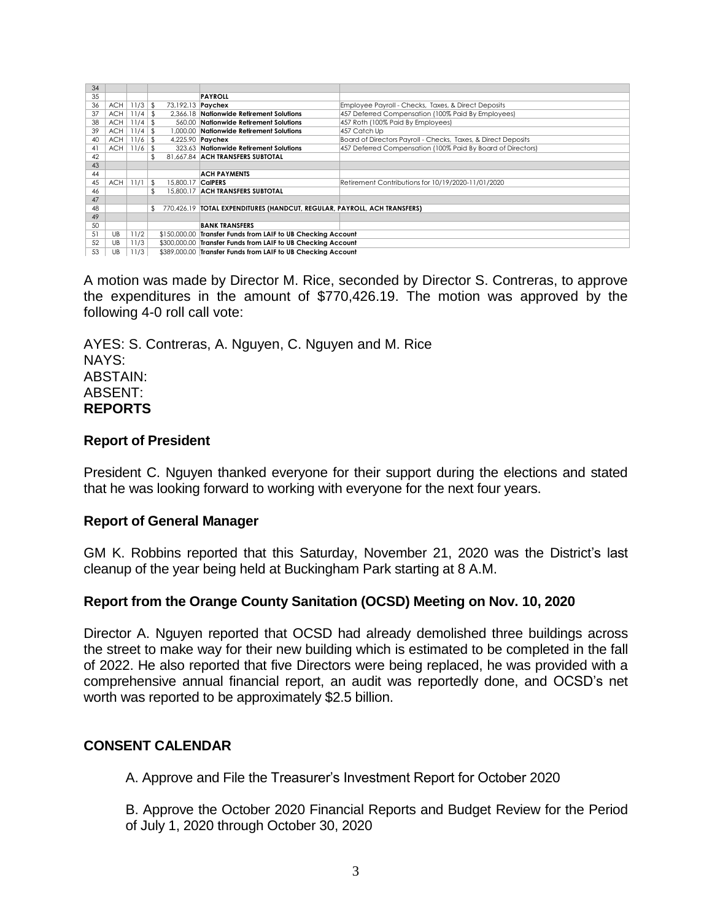| 34 |            |               |                           |                                                                          |                                                               |
|----|------------|---------------|---------------------------|--------------------------------------------------------------------------|---------------------------------------------------------------|
| 35 |            |               |                           | <b>PAYROLL</b>                                                           |                                                               |
| 36 |            | $ACH$ 11/3 \$ | 73,192.13 <b>Paychex</b>  |                                                                          | Employee Payroll - Checks, Taxes, & Direct Deposits           |
| 37 | <b>ACH</b> | $11/4$ \$     |                           | 2.366.18 Nationwide Retirement Solutions                                 | 457 Deferred Compensation (100% Paid By Employees)            |
| 38 | ACH        | $11/4$ \$     |                           | 560.00 Nationwide Retirement Solutions                                   | 457 Roth (100% Paid By Employees)                             |
| 39 | ACH        | 11/4          | l \$                      | 1,000,00 Nationwide Retirement Solutions                                 | 457 Catch Up                                                  |
| 40 | <b>ACH</b> | $11/6$ \$     |                           | 4,225.90 <b>Paychex</b>                                                  | Board of Directors Payroll - Checks, Taxes, & Direct Deposits |
| 41 | ACH        | $11/6$ \$     |                           | 323.63 Nationwide Retirement Solutions                                   | 457 Deferred Compensation (100% Paid By Board of Directors)   |
| 42 |            |               | \$                        | 81.667.84 ACH TRANSFERS SUBTOTAL                                         |                                                               |
| 43 |            |               |                           |                                                                          |                                                               |
| 44 |            |               |                           | <b>ACH PAYMENTS</b>                                                      |                                                               |
| 45 | ACH        | 11/1          | - \$<br>15,800.17 CalPERS |                                                                          | Retirement Contributions for 10/19/2020-11/01/2020            |
| 46 |            |               | £.                        | 15,800.17 ACH TRANSFERS SUBTOTAL                                         |                                                               |
| 47 |            |               |                           |                                                                          |                                                               |
| 48 |            |               | £.                        | 770,426.19 TOTAL EXPENDITURES (HANDCUT, REGULAR, PAYROLL, ACH TRANSFERS) |                                                               |
| 49 |            |               |                           |                                                                          |                                                               |
| 50 |            |               |                           | <b>BANK TRANSFERS</b>                                                    |                                                               |
| 51 | UB         | 11/2          |                           | \$150,000.00 Transfer Funds from LAIF to UB Checking Account             |                                                               |
| 52 | UB         | 11/3          |                           | \$300,000.00 Transfer Funds from LAIF to UB Checking Account             |                                                               |
| 53 | UB         | 11/3          |                           | \$389,000.00 Transfer Funds from LAIF to UB Checking Account             |                                                               |

A motion was made by Director M. Rice, seconded by Director S. Contreras, to approve the expenditures in the amount of \$770,426.19. The motion was approved by the following 4-0 roll call vote:

AYES: S. Contreras, A. Nguyen, C. Nguyen and M. Rice NAYS: ABSTAIN: ABSENT: **REPORTS**

#### **Report of President**

President C. Nguyen thanked everyone for their support during the elections and stated that he was looking forward to working with everyone for the next four years.

#### **Report of General Manager**

GM K. Robbins reported that this Saturday, November 21, 2020 was the District's last cleanup of the year being held at Buckingham Park starting at 8 A.M.

## **Report from the Orange County Sanitation (OCSD) Meeting on Nov. 10, 2020**

Director A. Nguyen reported that OCSD had already demolished three buildings across the street to make way for their new building which is estimated to be completed in the fall of 2022. He also reported that five Directors were being replaced, he was provided with a comprehensive annual financial report, an audit was reportedly done, and OCSD's net worth was reported to be approximately \$2.5 billion.

## **CONSENT CALENDAR**

A. Approve and File the Treasurer's Investment Report for October 2020

B. Approve the October 2020 Financial Reports and Budget Review for the Period of July 1, 2020 through October 30, 2020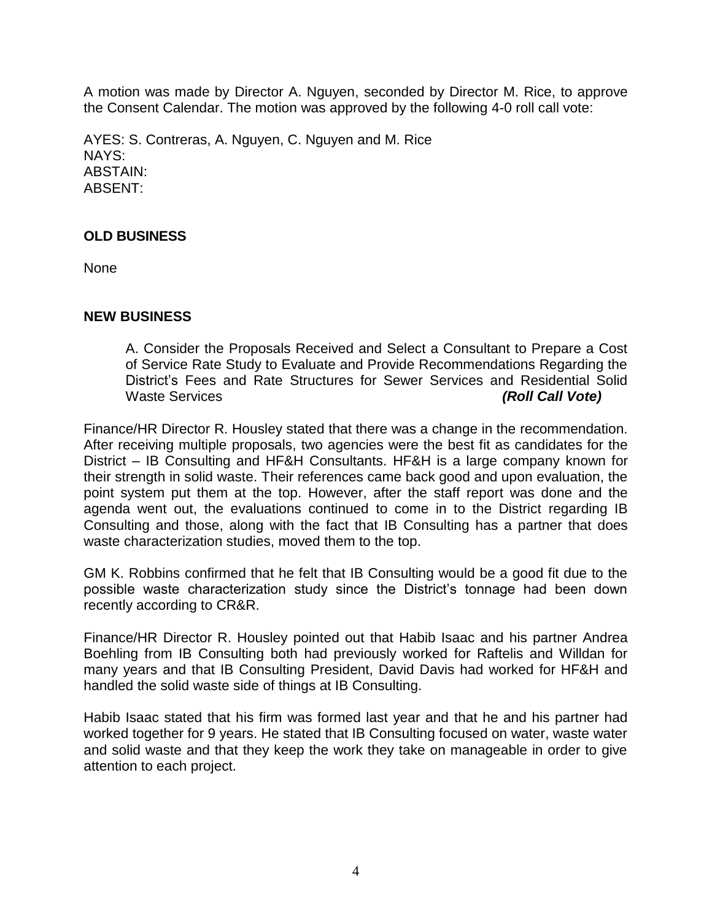A motion was made by Director A. Nguyen, seconded by Director M. Rice, to approve the Consent Calendar. The motion was approved by the following 4-0 roll call vote:

AYES: S. Contreras, A. Nguyen, C. Nguyen and M. Rice NAYS: ABSTAIN: ABSENT:

## **OLD BUSINESS**

None

#### **NEW BUSINESS**

A. Consider the Proposals Received and Select a Consultant to Prepare a Cost of Service Rate Study to Evaluate and Provide Recommendations Regarding the District's Fees and Rate Structures for Sewer Services and Residential Solid Waste Services *(Roll Call Vote)*

Finance/HR Director R. Housley stated that there was a change in the recommendation. After receiving multiple proposals, two agencies were the best fit as candidates for the District – IB Consulting and HF&H Consultants. HF&H is a large company known for their strength in solid waste. Their references came back good and upon evaluation, the point system put them at the top. However, after the staff report was done and the agenda went out, the evaluations continued to come in to the District regarding IB Consulting and those, along with the fact that IB Consulting has a partner that does waste characterization studies, moved them to the top.

GM K. Robbins confirmed that he felt that IB Consulting would be a good fit due to the possible waste characterization study since the District's tonnage had been down recently according to CR&R.

Finance/HR Director R. Housley pointed out that Habib Isaac and his partner Andrea Boehling from IB Consulting both had previously worked for Raftelis and Willdan for many years and that IB Consulting President, David Davis had worked for HF&H and handled the solid waste side of things at IB Consulting.

Habib Isaac stated that his firm was formed last year and that he and his partner had worked together for 9 years. He stated that IB Consulting focused on water, waste water and solid waste and that they keep the work they take on manageable in order to give attention to each project.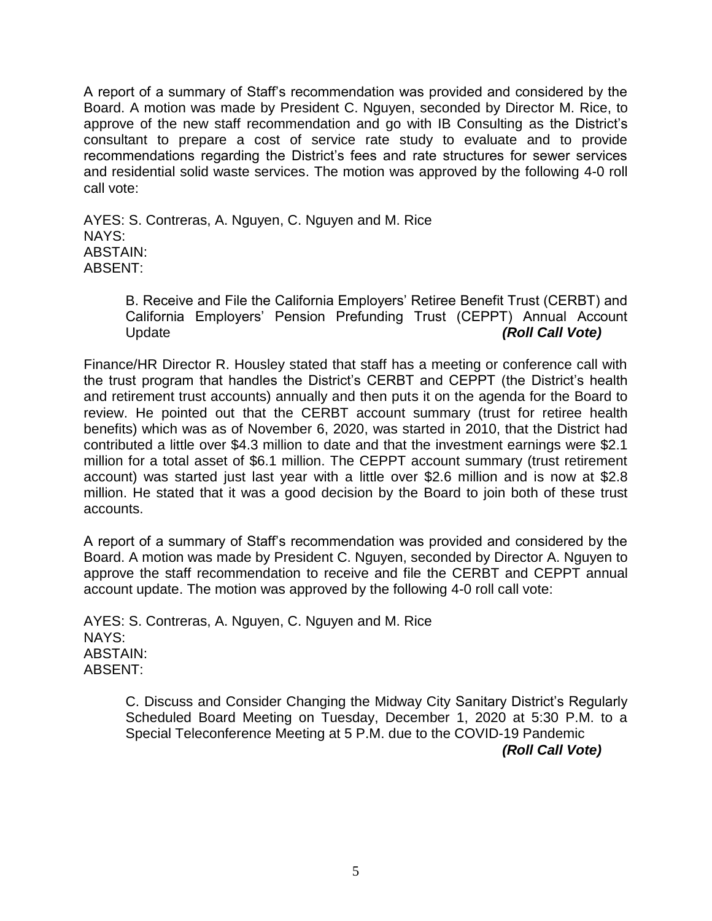A report of a summary of Staff's recommendation was provided and considered by the Board. A motion was made by President C. Nguyen, seconded by Director M. Rice, to approve of the new staff recommendation and go with IB Consulting as the District's consultant to prepare a cost of service rate study to evaluate and to provide recommendations regarding the District's fees and rate structures for sewer services and residential solid waste services. The motion was approved by the following 4-0 roll call vote:

AYES: S. Contreras, A. Nguyen, C. Nguyen and M. Rice NAYS: ABSTAIN: ABSENT:

> B. Receive and File the California Employers' Retiree Benefit Trust (CERBT) and California Employers' Pension Prefunding Trust (CEPPT) Annual Account Update *(Roll Call Vote)*

Finance/HR Director R. Housley stated that staff has a meeting or conference call with the trust program that handles the District's CERBT and CEPPT (the District's health and retirement trust accounts) annually and then puts it on the agenda for the Board to review. He pointed out that the CERBT account summary (trust for retiree health benefits) which was as of November 6, 2020, was started in 2010, that the District had contributed a little over \$4.3 million to date and that the investment earnings were \$2.1 million for a total asset of \$6.1 million. The CEPPT account summary (trust retirement account) was started just last year with a little over \$2.6 million and is now at \$2.8 million. He stated that it was a good decision by the Board to join both of these trust accounts.

A report of a summary of Staff's recommendation was provided and considered by the Board. A motion was made by President C. Nguyen, seconded by Director A. Nguyen to approve the staff recommendation to receive and file the CERBT and CEPPT annual account update. The motion was approved by the following 4-0 roll call vote:

AYES: S. Contreras, A. Nguyen, C. Nguyen and M. Rice NAYS: ABSTAIN: ABSENT:

> C. Discuss and Consider Changing the Midway City Sanitary District's Regularly Scheduled Board Meeting on Tuesday, December 1, 2020 at 5:30 P.M. to a Special Teleconference Meeting at 5 P.M. due to the COVID-19 Pandemic *(Roll Call Vote)*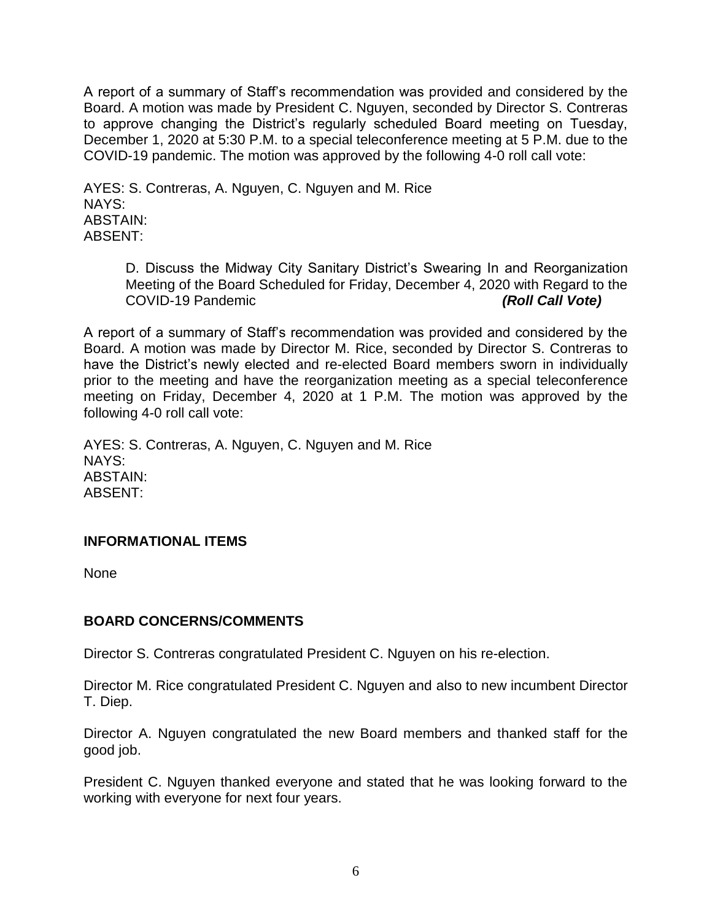A report of a summary of Staff's recommendation was provided and considered by the Board. A motion was made by President C. Nguyen, seconded by Director S. Contreras to approve changing the District's regularly scheduled Board meeting on Tuesday, December 1, 2020 at 5:30 P.M. to a special teleconference meeting at 5 P.M. due to the COVID-19 pandemic. The motion was approved by the following 4-0 roll call vote:

AYES: S. Contreras, A. Nguyen, C. Nguyen and M. Rice NAYS: ABSTAIN: ABSENT:

> D. Discuss the Midway City Sanitary District's Swearing In and Reorganization Meeting of the Board Scheduled for Friday, December 4, 2020 with Regard to the COVID-19 Pandemic *(Roll Call Vote)*

A report of a summary of Staff's recommendation was provided and considered by the Board. A motion was made by Director M. Rice, seconded by Director S. Contreras to have the District's newly elected and re-elected Board members sworn in individually prior to the meeting and have the reorganization meeting as a special teleconference meeting on Friday, December 4, 2020 at 1 P.M. The motion was approved by the following 4-0 roll call vote:

AYES: S. Contreras, A. Nguyen, C. Nguyen and M. Rice NAYS: ABSTAIN: ABSENT:

## **INFORMATIONAL ITEMS**

None

## **BOARD CONCERNS/COMMENTS**

Director S. Contreras congratulated President C. Nguyen on his re-election.

Director M. Rice congratulated President C. Nguyen and also to new incumbent Director T. Diep.

Director A. Nguyen congratulated the new Board members and thanked staff for the good job.

President C. Nguyen thanked everyone and stated that he was looking forward to the working with everyone for next four years.